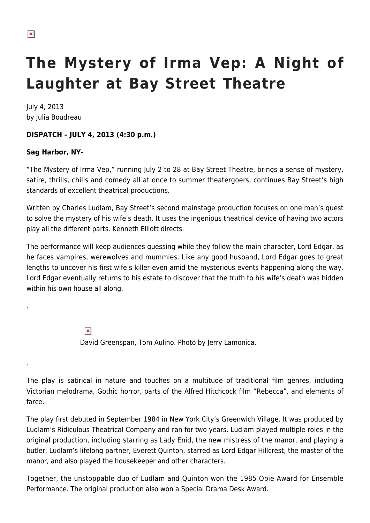.

.

## **The Mystery of Irma Vep: A Night of Laughter at Bay Street Theatre**

July 4, 2013 by Julia Boudreau

## **DISPATCH – JULY 4, 2013 (4:30 p.m.)**

## **Sag Harbor, NY-**

"The Mystery of Irma Vep," running July 2 to 28 at Bay Street Theatre, brings a sense of mystery, satire, thrills, chills and comedy all at once to summer theatergoers, continues Bay Street's high standards of excellent theatrical productions.

Written by Charles Ludlam, Bay Street's second mainstage production focuses on one man's quest to solve the mystery of his wife's death. It uses the ingenious theatrical device of having two actors play all the different parts. Kenneth Elliott directs.

The performance will keep audiences guessing while they follow the main character, Lord Edgar, as he faces vampires, werewolves and mummies. Like any good husband, Lord Edgar goes to great lengths to uncover his first wife's killer even amid the mysterious events happening along the way. Lord Edgar eventually returns to his estate to discover that the truth to his wife's death was hidden within his own house all along.

> $\pmb{\times}$ David Greenspan, Tom Aulino. Photo by Jerry Lamonica.

The play is satirical in nature and touches on a multitude of traditional film genres, including Victorian melodrama, Gothic horror, parts of the Alfred Hitchcock film "Rebecca", and elements of farce.

The play first debuted in September 1984 in New York City's Greenwich Village. It was produced by Ludlam's Ridiculous Theatrical Company and ran for two years. Ludlam played multiple roles in the original production, including starring as Lady Enid, the new mistress of the manor, and playing a butler. Ludlam's lifelong partner, Everett Quinton, starred as Lord Edgar Hillcrest, the master of the manor, and also played the housekeeper and other characters.

Together, the unstoppable duo of Ludlam and Quinton won the 1985 Obie Award for Ensemble Performance. The original production also won a Special Drama Desk Award.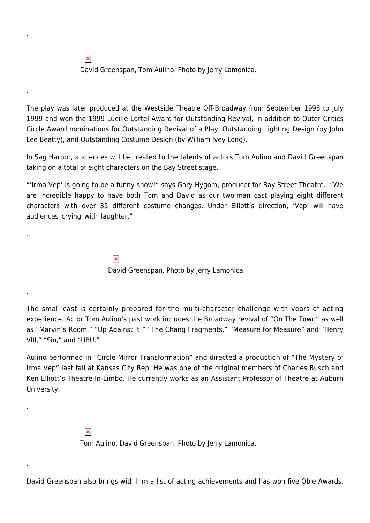$\pmb{\times}$ David Greenspan, Tom Aulino. Photo by Jerry Lamonica.

.

.

.

.

.

.

The play was later produced at the Westside Theatre Off-Broadway from September 1998 to July 1999 and won the 1999 Lucille Lortel Award for Outstanding Revival, in addition to Outer Critics Circle Award nominations for Outstanding Revival of a Play, Outstanding Lighting Design (by John Lee Beatty), and Outstanding Costume Design (by William Ivey Long).

In Sag Harbor, audiences will be treated to the talents of actors Tom Aulino and David Greenspan taking on a total of eight characters on the Bay Street stage.

"'Irma Vep' is going to be a funny show!" says Gary Hygom, producer for Bay Street Theatre. "We are incredible happy to have both Tom and David as our two-man cast playing eight different characters with over 35 different costume changes. Under Elliott's direction, 'Vep' will have audiences crying with laughter."

> $\pmb{\times}$ David Greenspan. Photo by Jerry Lamonica.

The small cast is certainly prepared for the multi-character challenge with years of acting experience. Actor Tom Aulino's past work includes the Broadway revival of "On The Town" as well as "Marvin's Room," "Up Against It!" "The Chang Fragments," "Measure for Measure" and "Henry VIII," "Sin," and "UBU."

Aulino performed in "Circle Mirror Transformation" and directed a production of "The Mystery of Irma Vep" last fall at Kansas City Rep. He was one of the original members of Charles Busch and Ken Elliott's Theatre-In-Limbo. He currently works as an Assistant Professor of Theatre at Auburn University.

> $\pmb{\times}$ Tom Aulino, David Greenspan. Photo by Jerry Lamonica.

David Greenspan also brings with him a list of acting achievements and has won five Obie Awards,